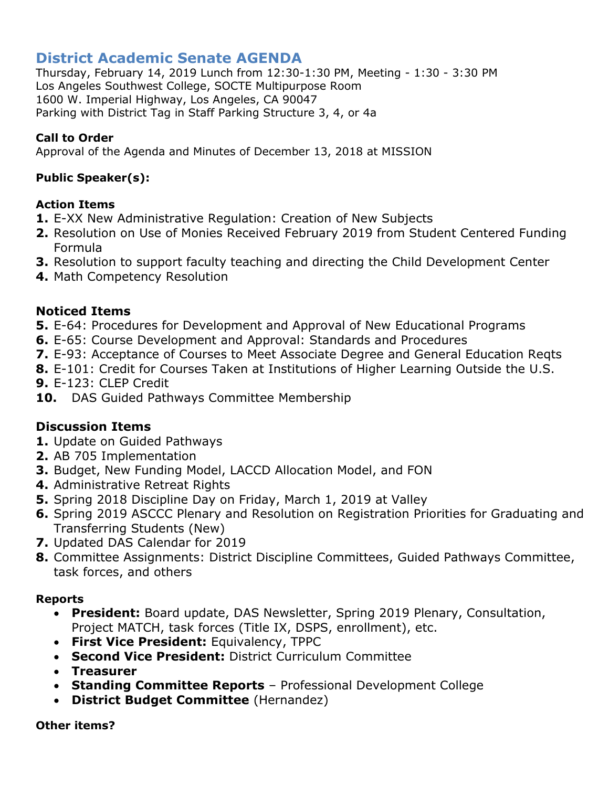# **District Academic Senate AGENDA**

Thursday, February 14, 2019 Lunch from 12:30-1:30 PM, Meeting - 1:30 - 3:30 PM Los Angeles Southwest College, SOCTE Multipurpose Room 1600 W. Imperial Highway, Los Angeles, CA 90047 Parking with District Tag in Staff Parking Structure 3, 4, or 4a

## **Call to Order**

Approval of the Agenda and Minutes of December 13, 2018 at MISSION

## **Public Speaker(s):**

## **Action Items**

- **1.** E-XX New Administrative Regulation: Creation of New Subjects
- **2.** Resolution on Use of Monies Received February 2019 from Student Centered Funding Formula
- **3.** Resolution to support faculty teaching and directing the Child Development Center
- **4.** Math Competency Resolution

## **Noticed Items**

- **5.** E-64: Procedures for Development and Approval of New Educational Programs
- **6.** E-65: Course Development and Approval: Standards and Procedures
- **7.** E-93: Acceptance of Courses to Meet Associate Degree and General Education Reqts
- **8.** E-101: Credit for Courses Taken at Institutions of Higher Learning Outside the U.S.
- **9.** E-123: CLEP Credit
- **10.** DAS Guided Pathways Committee Membership

## **Discussion Items**

- **1.** Update on Guided Pathways
- **2.** AB 705 Implementation
- **3.** Budget, New Funding Model, LACCD Allocation Model, and FON
- **4.** Administrative Retreat Rights
- **5.** Spring 2018 Discipline Day on Friday, March 1, 2019 at Valley
- **6.** Spring 2019 ASCCC Plenary and Resolution on Registration Priorities for Graduating and Transferring Students (New)
- **7.** Updated DAS Calendar for 2019
- **8.** Committee Assignments: District Discipline Committees, Guided Pathways Committee, task forces, and others

## **Reports**

- **President:** Board update, DAS Newsletter, Spring 2019 Plenary, Consultation, Project MATCH, task forces (Title IX, DSPS, enrollment), etc.
- **First Vice President:** Equivalency, TPPC
- **Second Vice President:** District Curriculum Committee
- **Treasurer**
- **Standing Committee Reports** Professional Development College
- **District Budget Committee** (Hernandez)

#### **Other items?**